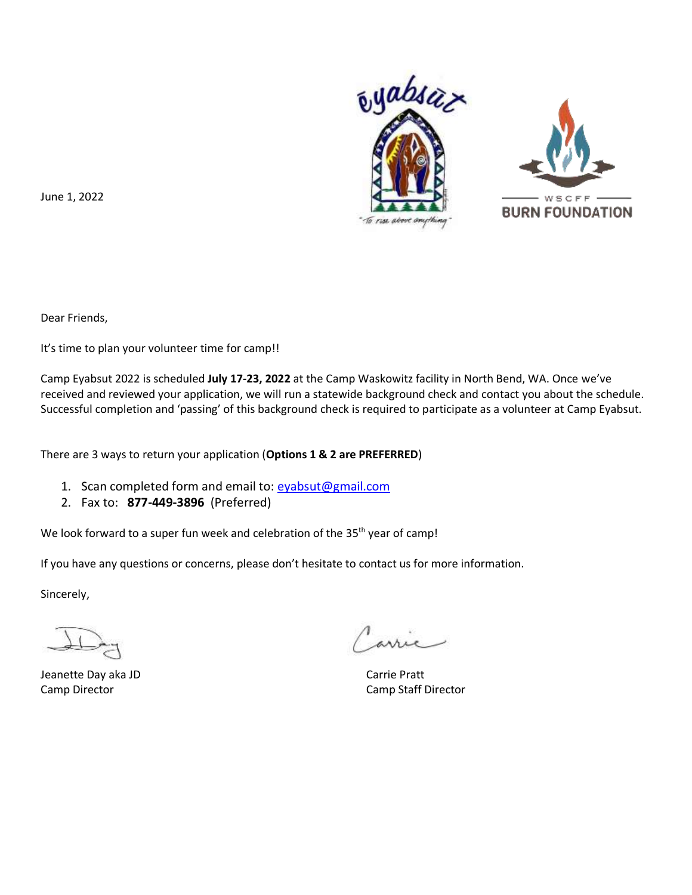



June 1, 2022

Dear Friends,

It's time to plan your volunteer time for camp!!

Camp Eyabsut 2022 is scheduled **July 17-23, 2022** at the Camp Waskowitz facility in North Bend, WA. Once we've received and reviewed your application, we will run a statewide background check and contact you about the schedule. Successful completion and 'passing' of this background check is required to participate as a volunteer at Camp Eyabsut.

There are 3 ways to return your application (**Options 1 & 2 are PREFERRED**)

- 1. Scan completed form and email to: [eyabsut@gmail.com](mailto:eyabsut@gmail.com)
- 2. Fax to: **877-449-3896** (Preferred)

We look forward to a super fun week and celebration of the 35<sup>th</sup> year of camp!

If you have any questions or concerns, please don't hesitate to contact us for more information.

Sincerely,

Jeanette Day aka JD Carrie Pratt **Camp Director** Camp Of Director Camp Staff Director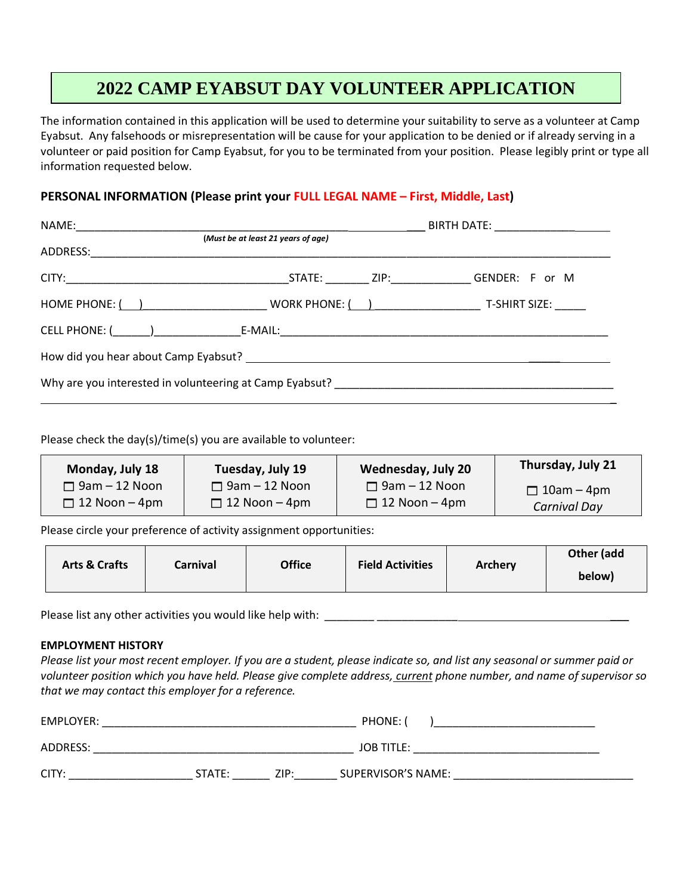### **2022 CAMP EYABSUT DAY VOLUNTEER APPLICATION**

The information contained in this application will be used to determine your suitability to serve as a volunteer at Camp Eyabsut. Any falsehoods or misrepresentation will be cause for your application to be denied or if already serving in a volunteer or paid position for Camp Eyabsut, for you to be terminated from your position. Please legibly print or type all information requested below.

#### **PERSONAL INFORMATION (Please print your FULL LEGAL NAME – First, Middle, Last)**

| (Must be at least 21 years of age)                                                                                                    |  |  |
|---------------------------------------------------------------------------------------------------------------------------------------|--|--|
|                                                                                                                                       |  |  |
| HOME PHONE: $\begin{pmatrix} 1 & 1 \\ 1 & 1 \end{pmatrix}$ work phone: $\begin{pmatrix} 1 & 1 \\ 1 & 1 \end{pmatrix}$ . T-SHIRT SIZE: |  |  |
|                                                                                                                                       |  |  |
|                                                                                                                                       |  |  |
|                                                                                                                                       |  |  |

Please check the day(s)/time(s) you are available to volunteer:

| Monday, July 18      | Tuesday, July 19     | <b>Wednesday, July 20</b> | Thursday, July 21 |
|----------------------|----------------------|---------------------------|-------------------|
| $\Box$ 9am – 12 Noon | $\Box$ 9am – 12 Noon | $\Box$ 9am – 12 Noon      | $\Box$ 10am – 4pm |
| $\Box$ 12 Noon – 4pm | $\Box$ 12 Noon – 4pm | $\Box$ 12 Noon – 4pm      | Carnival Day      |

Please circle your preference of activity assignment opportunities:

|                                      |  | <b>Office</b> | <b>Field Activities</b> | <b>Archery</b> | Other (add |
|--------------------------------------|--|---------------|-------------------------|----------------|------------|
| <b>Arts &amp; Crafts</b><br>Carnival |  |               |                         |                | below)     |

Please list any other activities you would like help with: \_\_\_\_\_\_\_\_\_\_\_\_\_\_\_\_\_\_\_\_\_

#### **EMPLOYMENT HISTORY**

*Please list your most recent employer. If you are a student, please indicate so, and list any seasonal or summer paid or volunteer position which you have held. Please give complete address, current phone number, and name of supervisor so that we may contact this employer for a reference.*

| EMPLOYER: |        |      | PHONE:                    |  |
|-----------|--------|------|---------------------------|--|
| ADDRESS:  |        |      | <b>JOB TITLE:</b>         |  |
| CITY:     | STATE: | ZIP: | <b>SUPERVISOR'S NAME:</b> |  |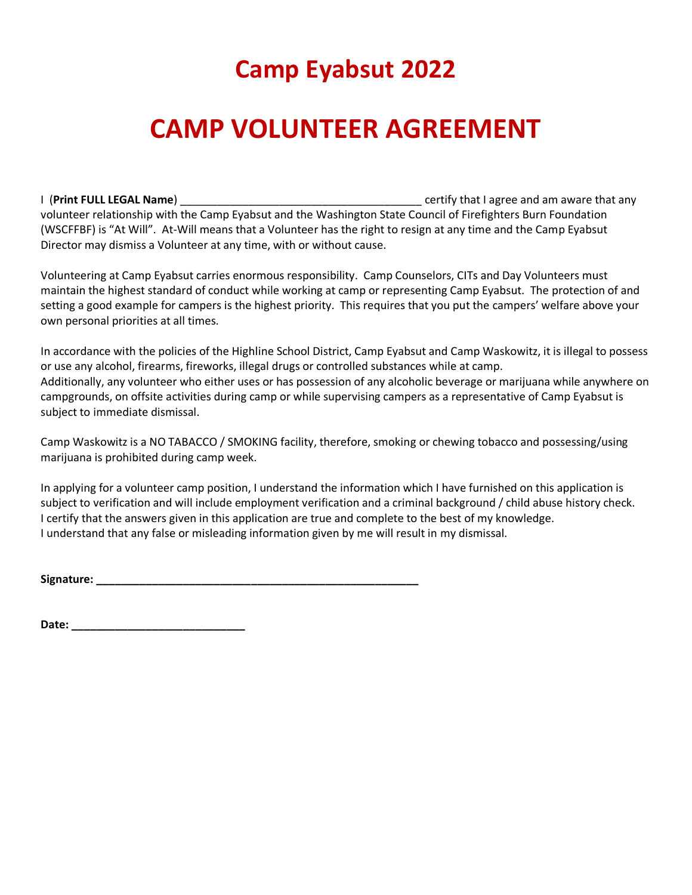## **Camp Eyabsut 2022**

# **CAMP VOLUNTEER AGREEMENT**

I (**Print FULL LEGAL Name**) **Example 2** certify that I agree and am aware that any volunteer relationship with the Camp Eyabsut and the Washington State Council of Firefighters Burn Foundation (WSCFFBF) is "At Will". At-Will means that a Volunteer has the right to resign at any time and the Camp Eyabsut Director may dismiss a Volunteer at any time, with or without cause.

Volunteering at Camp Eyabsut carries enormous responsibility. Camp Counselors, CITs and Day Volunteers must maintain the highest standard of conduct while working at camp or representing Camp Eyabsut. The protection of and setting a good example for campers is the highest priority. This requires that you put the campers' welfare above your own personal priorities at all times.

In accordance with the policies of the Highline School District, Camp Eyabsut and Camp Waskowitz, it is illegal to possess or use any alcohol, firearms, fireworks, illegal drugs or controlled substances while at camp. Additionally, any volunteer who either uses or has possession of any alcoholic beverage or marijuana while anywhere on campgrounds, on offsite activities during camp or while supervising campers as a representative of Camp Eyabsut is subject to immediate dismissal.

Camp Waskowitz is a NO TABACCO / SMOKING facility, therefore, smoking or chewing tobacco and possessing/using marijuana is prohibited during camp week.

In applying for a volunteer camp position, I understand the information which I have furnished on this application is subject to verification and will include employment verification and a criminal background / child abuse history check. I certify that the answers given in this application are true and complete to the best of my knowledge. I understand that any false or misleading information given by me will result in my dismissal.

**Signature: \_\_\_\_\_\_\_\_\_\_\_\_\_\_\_\_\_\_\_\_\_\_\_\_\_\_\_\_\_\_\_\_\_\_\_\_\_\_\_\_\_\_\_\_\_\_\_\_\_\_\_\_**

**Date: \_\_\_\_\_\_\_\_\_\_\_\_\_\_\_\_\_\_\_\_\_\_\_\_\_\_\_\_**